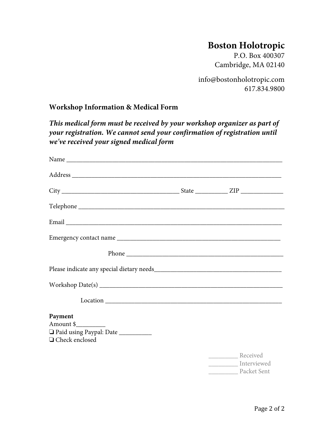## **Boston Holotropic**

P.O. Box 400307 Cambridge, MA 02140

info@bostonholotropic.com 617.834.9800

## **Workshop Information & Medical Form**

*This medical form must be received by your workshop organizer as part of your registration. We cannot send your confirmation of registration until we've received your signed medical form* 

| $Workshop Date(s) \nightharpoonup \nightharpoonup \nightharpoonup \nightharpoonup \nightharpoonup \nightharpoonup \nightharpoonup \nightharpoonup \nightharpoonup \nightharpoonup \nightharpoonup \nightharpoonup \nightharpoonup \nightharpoonup \nightharpoonup \nightharpoonup \nightharpoonup \nightharpoonup \nightharpoonup \nightharpoonup \nightharpoonup \nightharpoonup \nightharpoonup \nightharpoonup \nightharpoonup \nightharpoonup \nightharpoonup \nightharpoonup \nightharpoonup \nightharpoonup \nightharpoonup \nightharpoonup \nightharpoonup \nightharpoonup \nightharpoonup \nightharpoon$ |                                                    |
|------------------------------------------------------------------------------------------------------------------------------------------------------------------------------------------------------------------------------------------------------------------------------------------------------------------------------------------------------------------------------------------------------------------------------------------------------------------------------------------------------------------------------------------------------------------------------------------------------------------|----------------------------------------------------|
|                                                                                                                                                                                                                                                                                                                                                                                                                                                                                                                                                                                                                  |                                                    |
| Payment<br>Amount $\frac{1}{2}$<br>Paid using Paypal: Date __________<br>□ Check enclosed                                                                                                                                                                                                                                                                                                                                                                                                                                                                                                                        |                                                    |
|                                                                                                                                                                                                                                                                                                                                                                                                                                                                                                                                                                                                                  | Received<br>___________ Interviewed<br>Packet Sent |